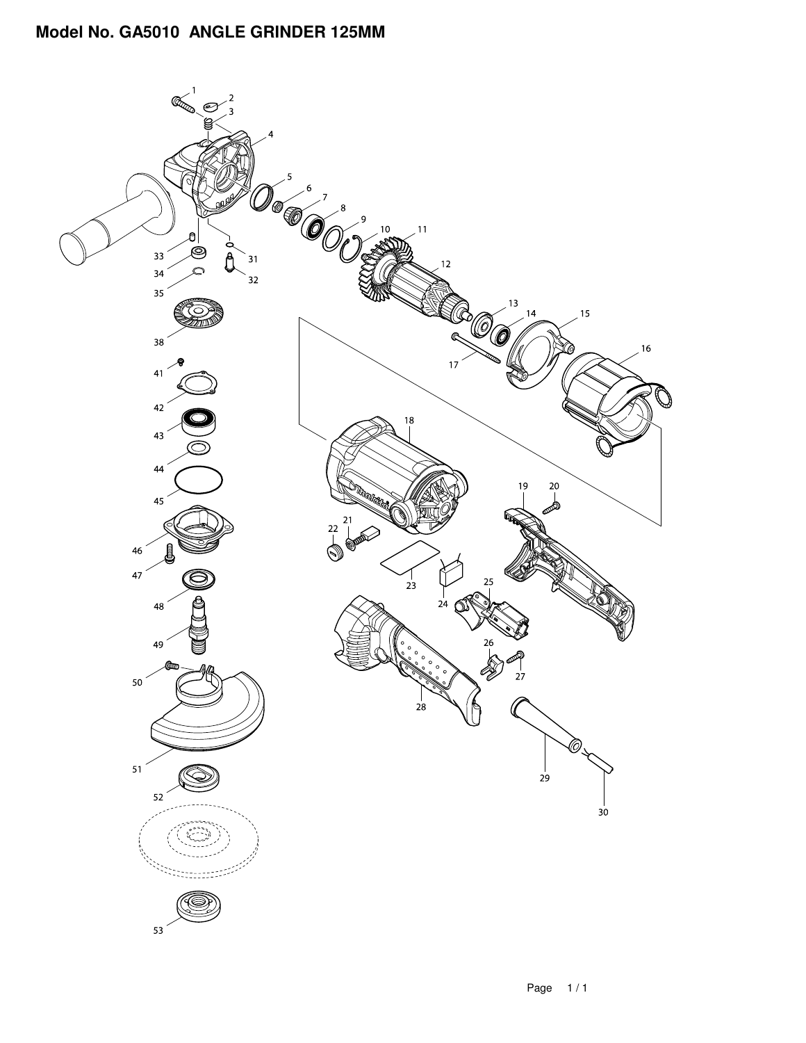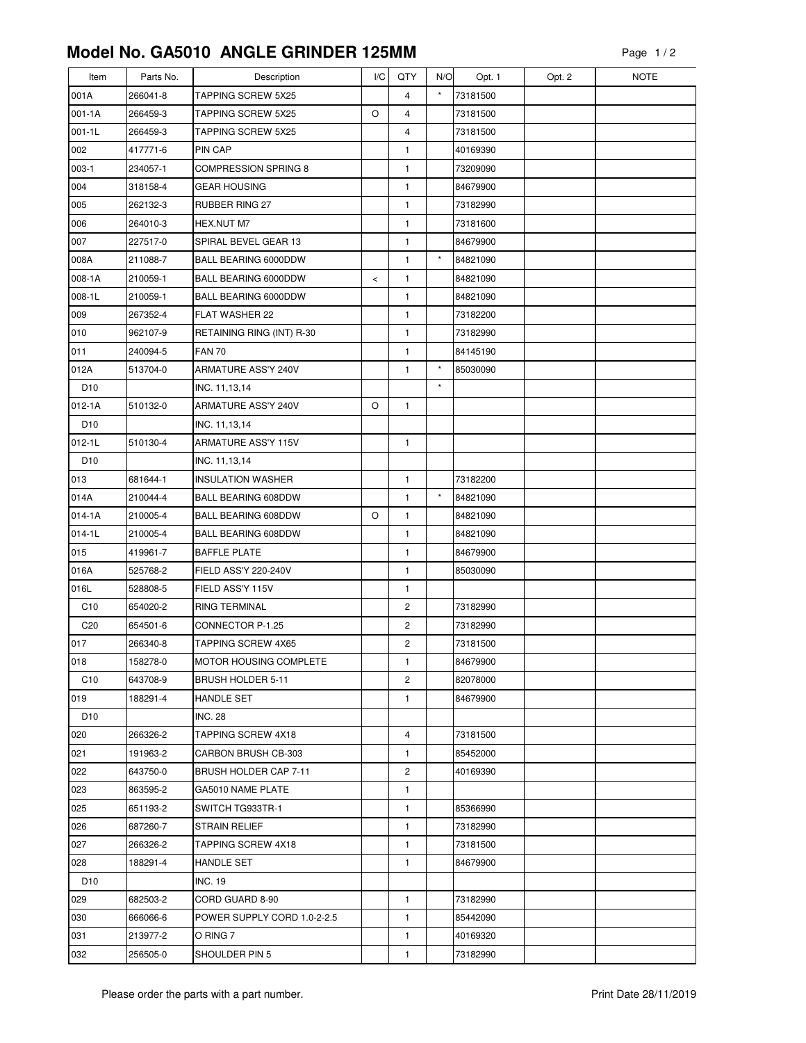## **Model No. GA5010 ANGLE GRINDER 125MM**

| Item            | Parts No. | Description                 | I/C   | QTY                     | N/O      | Opt. 1   | Opt. 2 | <b>NOTE</b> |
|-----------------|-----------|-----------------------------|-------|-------------------------|----------|----------|--------|-------------|
| 001A            | 266041-8  | <b>TAPPING SCREW 5X25</b>   |       | $\overline{4}$          | $\star$  | 73181500 |        |             |
| $001 - 1A$      | 266459-3  | <b>TAPPING SCREW 5X25</b>   | O     | $\overline{4}$          |          | 73181500 |        |             |
| $001 - 1L$      | 266459-3  | TAPPING SCREW 5X25          |       | 4                       |          | 73181500 |        |             |
| 002             | 417771-6  | PIN CAP                     |       | 1                       |          | 40169390 |        |             |
| $003-1$         | 234057-1  | <b>COMPRESSION SPRING 8</b> |       | 1                       |          | 73209090 |        |             |
| 004             | 318158-4  | <b>GEAR HOUSING</b>         |       | 1                       |          | 84679900 |        |             |
| 005             | 262132-3  | RUBBER RING 27              |       | 1                       |          | 73182990 |        |             |
| 006             | 264010-3  | HEX.NUT M7                  |       | 1                       |          | 73181600 |        |             |
| 007             | 227517-0  | SPIRAL BEVEL GEAR 13        |       | 1                       |          | 84679900 |        |             |
| 008A            | 211088-7  | <b>BALL BEARING 6000DDW</b> |       | 1                       | $^\star$ | 84821090 |        |             |
| 008-1A          | 210059-1  | BALL BEARING 6000DDW        | $\,<$ | 1                       |          | 84821090 |        |             |
| 008-1L          | 210059-1  | BALL BEARING 6000DDW        |       | 1                       |          | 84821090 |        |             |
| 009             | 267352-4  | FLAT WASHER 22              |       | 1                       |          | 73182200 |        |             |
| 010             | 962107-9  | RETAINING RING (INT) R-30   |       | $\mathbf{1}$            |          | 73182990 |        |             |
| 011             | 240094-5  | <b>FAN 70</b>               |       | 1                       |          | 84145190 |        |             |
| 012A            | 513704-0  | ARMATURE ASS'Y 240V         |       | 1                       | $\star$  | 85030090 |        |             |
| D <sub>10</sub> |           | INC. 11,13,14               |       |                         | $^\star$ |          |        |             |
| $012 - 1A$      | 510132-0  | ARMATURE ASS'Y 240V         | O     | 1                       |          |          |        |             |
| D <sub>10</sub> |           | INC. 11, 13, 14             |       |                         |          |          |        |             |
| $012 - 1L$      | 510130-4  | ARMATURE ASS'Y 115V         |       | 1                       |          |          |        |             |
| D <sub>10</sub> |           | INC. 11,13,14               |       |                         |          |          |        |             |
| 013             | 681644-1  | <b>INSULATION WASHER</b>    |       | $\mathbf{1}$            |          | 73182200 |        |             |
| 014A            | 210044-4  | BALL BEARING 608DDW         |       | 1                       | $\star$  | 84821090 |        |             |
| $014 - 1A$      | 210005-4  | <b>BALL BEARING 608DDW</b>  | O     | 1                       |          | 84821090 |        |             |
| $014 - 1L$      | 210005-4  | <b>BALL BEARING 608DDW</b>  |       | 1                       |          | 84821090 |        |             |
| 015             | 419961-7  | <b>BAFFLE PLATE</b>         |       | 1                       |          | 84679900 |        |             |
| 016A            | 525768-2  | FIELD ASS'Y 220-240V        |       | $\mathbf{1}$            |          | 85030090 |        |             |
| 016L            | 528808-5  | FIELD ASS'Y 115V            |       | 1                       |          |          |        |             |
| C10             | 654020-2  | <b>RING TERMINAL</b>        |       | $\overline{\mathbf{c}}$ |          | 73182990 |        |             |
| C <sub>20</sub> | 654501-6  | CONNECTOR P-1.25            |       | $\overline{c}$          |          | 73182990 |        |             |
| 017             | 266340-8  | <b>TAPPING SCREW 4X65</b>   |       | $\overline{\mathbf{c}}$ |          | 73181500 |        |             |
| 018             | 158278-0  | MOTOR HOUSING COMPLETE      |       | 1                       |          | 84679900 |        |             |
| C <sub>10</sub> | 643708-9  | <b>BRUSH HOLDER 5-11</b>    |       | 2                       |          | 82078000 |        |             |
| 019             | 188291-4  | <b>HANDLE SET</b>           |       | 1                       |          | 84679900 |        |             |
| D <sub>10</sub> |           | <b>INC. 28</b>              |       |                         |          |          |        |             |
| 020             | 266326-2  | TAPPING SCREW 4X18          |       | 4                       |          | 73181500 |        |             |
| 021             | 191963-2  | CARBON BRUSH CB-303         |       | 1                       |          | 85452000 |        |             |
| 022             | 643750-0  | BRUSH HOLDER CAP 7-11       |       | 2                       |          | 40169390 |        |             |
| 023             | 863595-2  | GA5010 NAME PLATE           |       | 1                       |          |          |        |             |
| 025             | 651193-2  | SWITCH TG933TR-1            |       | 1                       |          | 85366990 |        |             |
| 026             | 687260-7  | <b>STRAIN RELIEF</b>        |       | 1                       |          | 73182990 |        |             |
| 027             | 266326-2  | TAPPING SCREW 4X18          |       | 1                       |          | 73181500 |        |             |
| 028             | 188291-4  | HANDLE SET                  |       | 1                       |          | 84679900 |        |             |
| D <sub>10</sub> |           | <b>INC. 19</b>              |       |                         |          |          |        |             |
| 029             | 682503-2  | CORD GUARD 8-90             |       | 1                       |          | 73182990 |        |             |
| 030             | 666066-6  | POWER SUPPLY CORD 1.0-2-2.5 |       | $\mathbf{1}$            |          | 85442090 |        |             |
| 031             | 213977-2  | O RING 7                    |       | 1                       |          | 40169320 |        |             |
| 032             | 256505-0  | SHOULDER PIN 5              |       | 1                       |          | 73182990 |        |             |